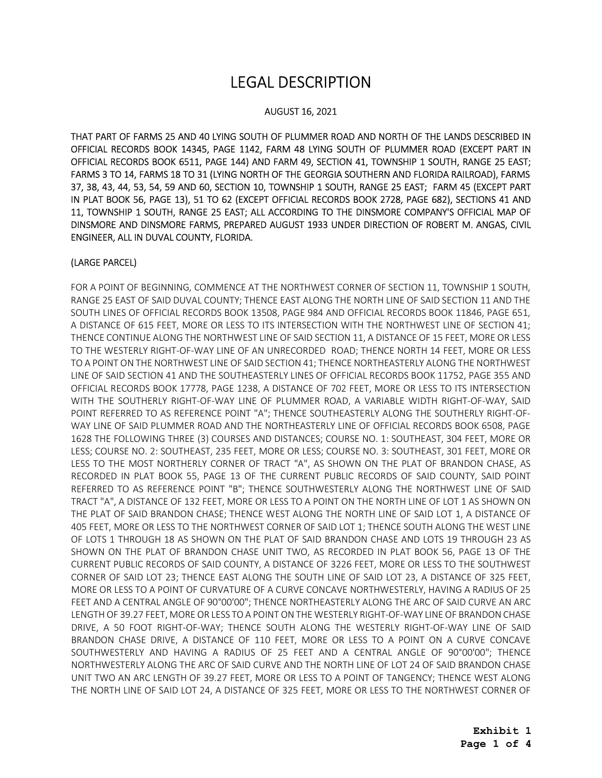# LEGAL DESCRIPTION

#### AUGUST 16, 2021

 THAT PART OF FARMS 25 AND 40 LYING SOUTH OF PLUMMER ROAD AND NORTH OF THE LANDS DESCRIBED IN OFFICIAL RECORDS BOOK 14345, PAGE 1142, FARM 48 LYING SOUTH OF PLUMMER ROAD (EXCEPT PART IN OFFICIAL RECORDS BOOK 6511, PAGE 144) AND FARM 49, SECTION 41, TOWNSHIP 1 SOUTH, RANGE 25 EAST; FARMS 3 TO 14, FARMS 18 TO 31 (LYING NORTH OF THE GEORGIA SOUTHERN AND FLORIDA RAILROAD), FARMS 37, 38, 43, 44, 53, 54, 59 AND 60, SECTION 10, TOWNSHIP 1 SOUTH, RANGE 25 EAST; FARM 45 (EXCEPT PART IN PLAT BOOK 56, PAGE 13), 51 TO 62 (EXCEPT OFFICIAL RECORDS BOOK 2728, PAGE 682), SECTIONS 41 AND 11, TOWNSHIP 1 SOUTH, RANGE 25 EAST; ALL ACCORDING TO THE DINSMORE COMPANY'S OFFICIAL MAP OF DINSMORE AND DINSMORE FARMS, PREPARED AUGUST 1933 UNDER DIRECTION OF ROBERT M. ANGAS, CIVIL ENGINEER, ALL IN DUVAL COUNTY, FLORIDA.

#### (LARGE PARCEL)

 FOR A POINT OF BEGINNING, COMMENCE AT THE NORTHWEST CORNER OF SECTION 11, TOWNSHIP 1 SOUTH, RANGE 25 EAST OF SAID DUVAL COUNTY; THENCE EAST ALONG THE NORTH LINE OF SAID SECTION 11 AND THE SOUTH LINES OF OFFICIAL RECORDS BOOK 13508, PAGE 984 AND OFFICIAL RECORDS BOOK 11846, PAGE 651, A DISTANCE OF 615 FEET, MORE OR LESS TO ITS INTERSECTION WITH THE NORTHWEST LINE OF SECTION 41; THENCE CONTINUE ALONG THE NORTHWEST LINE OF SAID SECTION 11, A DISTANCE OF 15 FEET, MORE OR LESS TO THE WESTERLY RIGHT-OF-WAY LINE OF AN UNRECORDED ROAD; THENCE NORTH 14 FEET, MORE OR LESS TO A POINT ON THE NORTHWEST LINE OF SAID SECTION 41; THENCE NORTHEASTERLY ALONG THE NORTHWEST LINE OF SAID SECTION 41 AND THE SOUTHEASTERLY LINES OF OFFICIAL RECORDS BOOK 11752, PAGE 355 AND OFFICIAL RECORDS BOOK 17778, PAGE 1238, A DISTANCE OF 702 FEET, MORE OR LESS TO ITS INTERSECTION WITH THE SOUTHERLY RIGHT-OF-WAY LINE OF PLUMMER ROAD, A VARIABLE WIDTH RIGHT-OF-WAY, SAID POINT REFERRED TO AS REFERENCE POINT "A"; THENCE SOUTHEASTERLY ALONG THE SOUTHERLY RIGHT-OF- WAY LINE OF SAID PLUMMER ROAD AND THE NORTHEASTERLY LINE OF OFFICIAL RECORDS BOOK 6508, PAGE 1628 THE FOLLOWING THREE (3) COURSES AND DISTANCES; COURSE NO. 1: SOUTHEAST, 304 FEET, MORE OR LESS; COURSE NO. 2: SOUTHEAST, 235 FEET, MORE OR LESS; COURSE NO. 3: SOUTHEAST, 301 FEET, MORE OR LESS TO THE MOST NORTHERLY CORNER OF TRACT "A", AS SHOWN ON THE PLAT OF BRANDON CHASE, AS RECORDED IN PLAT BOOK 55, PAGE 13 OF THE CURRENT PUBLIC RECORDS OF SAID COUNTY, SAID POINT REFERRED TO AS REFERENCE POINT "B"; THENCE SOUTHWESTERLY ALONG THE NORTHWEST LINE OF SAID TRACT "A", A DISTANCE OF 132 FEET, MORE OR LESS TO A POINT ON THE NORTH LINE OF LOT 1 AS SHOWN ON THE PLAT OF SAID BRANDON CHASE; THENCE WEST ALONG THE NORTH LINE OF SAID LOT 1, A DISTANCE OF 405 FEET, MORE OR LESS TO THE NORTHWEST CORNER OF SAID LOT 1; THENCE SOUTH ALONG THE WEST LINE OF LOTS 1 THROUGH 18 AS SHOWN ON THE PLAT OF SAID BRANDON CHASE AND LOTS 19 THROUGH 23 AS SHOWN ON THE PLAT OF BRANDON CHASE UNIT TWO, AS RECORDED IN PLAT BOOK 56, PAGE 13 OF THE CURRENT PUBLIC RECORDS OF SAID COUNTY, A DISTANCE OF 3226 FEET, MORE OR LESS TO THE SOUTHWEST CORNER OF SAID LOT 23; THENCE EAST ALONG THE SOUTH LINE OF SAID LOT 23, A DISTANCE OF 325 FEET, MORE OR LESS TO A POINT OF CURVATURE OF A CURVE CONCAVE NORTHWESTERLY, HAVING A RADIUS OF 25 FEET AND A CENTRAL ANGLE OF 90°00'00"; THENCE NORTHEASTERLY ALONG THE ARC OF SAID CURVE AN ARC LENGTH OF 39.27 FEET, MORE OR LESS TO A POINT ON THE WESTERLY RIGHT-OF-WAY LINE OF BRANDON CHASE DRIVE, A 50 FOOT RIGHT-OF-WAY; THENCE SOUTH ALONG THE WESTERLY RIGHT-OF-WAY LINE OF SAID BRANDON CHASE DRIVE, A DISTANCE OF 110 FEET, MORE OR LESS TO A POINT ON A CURVE CONCAVE SOUTHWESTERLY AND HAVING A RADIUS OF 25 FEET AND A CENTRAL ANGLE OF 90°00'00"; THENCE NORTHWESTERLY ALONG THE ARC OF SAID CURVE AND THE NORTH LINE OF LOT 24 OF SAID BRANDON CHASE UNIT TWO AN ARC LENGTH OF 39.27 FEET, MORE OR LESS TO A POINT OF TANGENCY; THENCE WEST ALONG THE NORTH LINE OF SAID LOT 24, A DISTANCE OF 325 FEET, MORE OR LESS TO THE NORTHWEST CORNER OF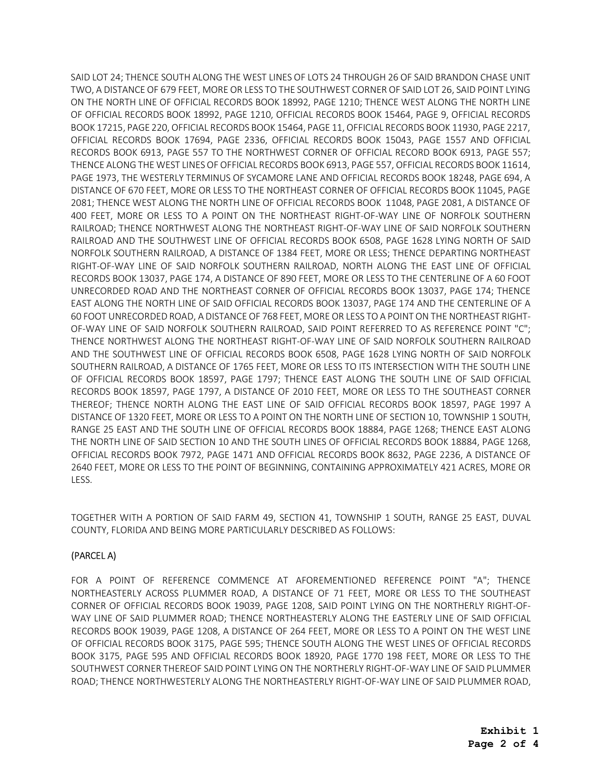SAID LOT 24; THENCE SOUTH ALONG THE WEST LINES OF LOTS 24 THROUGH 26 OF SAID BRANDON CHASE UNIT TWO, A DISTANCE OF 679 FEET, MORE OR LESS TO THE SOUTHWEST CORNER OF SAID LOT 26, SAID POINT LYING ON THE NORTH LINE OF OFFICIAL RECORDS BOOK 18992, PAGE 1210; THENCE WEST ALONG THE NORTH LINE OF OFFICIAL RECORDS BOOK 18992, PAGE 1210, OFFICIAL RECORDS BOOK 15464, PAGE 9, OFFICIAL RECORDS BOOK 17215, PAGE 220, OFFICIAL RECORDS BOOK 15464, PAGE 11, OFFICIAL RECORDS BOOK 11930, PAGE 2217, OFFICIAL RECORDS BOOK 17694, PAGE 2336, OFFICIAL RECORDS BOOK 15043, PAGE 1557 AND OFFICIAL RECORDS BOOK 6913, PAGE 557 TO THE NORTHWEST CORNER OF OFFICIAL RECORD BOOK 6913, PAGE 557; THENCE ALONG THE WEST LINES OF OFFICIAL RECORDS BOOK 6913, PAGE 557, OFFICIAL RECORDS BOOK 11614, PAGE 1973, THE WESTERLY TERMINUS OF SYCAMORE LANE AND OFFICIAL RECORDS BOOK 18248, PAGE 694, A DISTANCE OF 670 FEET, MORE OR LESS TO THE NORTHEAST CORNER OF OFFICIAL RECORDS BOOK 11045, PAGE 2081; THENCE WEST ALONG THE NORTH LINE OF OFFICIAL RECORDS BOOK 11048, PAGE 2081, A DISTANCE OF 400 FEET, MORE OR LESS TO A POINT ON THE NORTHEAST RIGHT-OF-WAY LINE OF NORFOLK SOUTHERN RAILROAD; THENCE NORTHWEST ALONG THE NORTHEAST RIGHT-OF-WAY LINE OF SAID NORFOLK SOUTHERN RAILROAD AND THE SOUTHWEST LINE OF OFFICIAL RECORDS BOOK 6508, PAGE 1628 LYING NORTH OF SAID NORFOLK SOUTHERN RAILROAD, A DISTANCE OF 1384 FEET, MORE OR LESS; THENCE DEPARTING NORTHEAST RIGHT-OF-WAY LINE OF SAID NORFOLK SOUTHERN RAILROAD, NORTH ALONG THE EAST LINE OF OFFICIAL RECORDS BOOK 13037, PAGE 174, A DISTANCE OF 890 FEET, MORE OR LESS TO THE CENTERLINE OF A 60 FOOT UNRECORDED ROAD AND THE NORTHEAST CORNER OF OFFICIAL RECORDS BOOK 13037, PAGE 174; THENCE EAST ALONG THE NORTH LINE OF SAID OFFICIAL RECORDS BOOK 13037, PAGE 174 AND THE CENTERLINE OF A 60 FOOT UNRECORDED ROAD, A DISTANCE OF 768 FEET, MORE OR LESS TO A POINT ON THE NORTHEAST RIGHT- OF-WAY LINE OF SAID NORFOLK SOUTHERN RAILROAD, SAID POINT REFERRED TO AS REFERENCE POINT "C"; THENCE NORTHWEST ALONG THE NORTHEAST RIGHT-OF-WAY LINE OF SAID NORFOLK SOUTHERN RAILROAD AND THE SOUTHWEST LINE OF OFFICIAL RECORDS BOOK 6508, PAGE 1628 LYING NORTH OF SAID NORFOLK SOUTHERN RAILROAD, A DISTANCE OF 1765 FEET, MORE OR LESS TO ITS INTERSECTION WITH THE SOUTH LINE OF OFFICIAL RECORDS BOOK 18597, PAGE 1797; THENCE EAST ALONG THE SOUTH LINE OF SAID OFFICIAL RECORDS BOOK 18597, PAGE 1797, A DISTANCE OF 2010 FEET, MORE OR LESS TO THE SOUTHEAST CORNER THEREOF; THENCE NORTH ALONG THE EAST LINE OF SAID OFFICIAL RECORDS BOOK 18597, PAGE 1997 A DISTANCE OF 1320 FEET, MORE OR LESS TO A POINT ON THE NORTH LINE OF SECTION 10, TOWNSHIP 1 SOUTH, RANGE 25 EAST AND THE SOUTH LINE OF OFFICIAL RECORDS BOOK 18884, PAGE 1268; THENCE EAST ALONG THE NORTH LINE OF SAID SECTION 10 AND THE SOUTH LINES OF OFFICIAL RECORDS BOOK 18884, PAGE 1268, OFFICIAL RECORDS BOOK 7972, PAGE 1471 AND OFFICIAL RECORDS BOOK 8632, PAGE 2236, A DISTANCE OF 2640 FEET, MORE OR LESS TO THE POINT OF BEGINNING, CONTAINING APPROXIMATELY 421 ACRES, MORE OR LESS.

 TOGETHER WITH A PORTION OF SAID FARM 49, SECTION 41, TOWNSHIP 1 SOUTH, RANGE 25 EAST, DUVAL COUNTY, FLORIDA AND BEING MORE PARTICULARLY DESCRIBED AS FOLLOWS:

#### (PARCEL A)

 FOR A POINT OF REFERENCE COMMENCE AT AFOREMENTIONED REFERENCE POINT "A"; THENCE NORTHEASTERLY ACROSS PLUMMER ROAD, A DISTANCE OF 71 FEET, MORE OR LESS TO THE SOUTHEAST CORNER OF OFFICIAL RECORDS BOOK 19039, PAGE 1208, SAID POINT LYING ON THE NORTHERLY RIGHT-OF- WAY LINE OF SAID PLUMMER ROAD; THENCE NORTHEASTERLY ALONG THE EASTERLY LINE OF SAID OFFICIAL RECORDS BOOK 19039, PAGE 1208, A DISTANCE OF 264 FEET, MORE OR LESS TO A POINT ON THE WEST LINE OF OFFICIAL RECORDS BOOK 3175, PAGE 595; THENCE SOUTH ALONG THE WEST LINES OF OFFICIAL RECORDS BOOK 3175, PAGE 595 AND OFFICIAL RECORDS BOOK 18920, PAGE 1770 198 FEET, MORE OR LESS TO THE SOUTHWEST CORNER THEREOF SAID POINT LYING ON THE NORTHERLY RIGHT-OF-WAY LINE OF SAID PLUMMER ROAD; THENCE NORTHWESTERLY ALONG THE NORTHEASTERLY RIGHT-OF-WAY LINE OF SAID PLUMMER ROAD,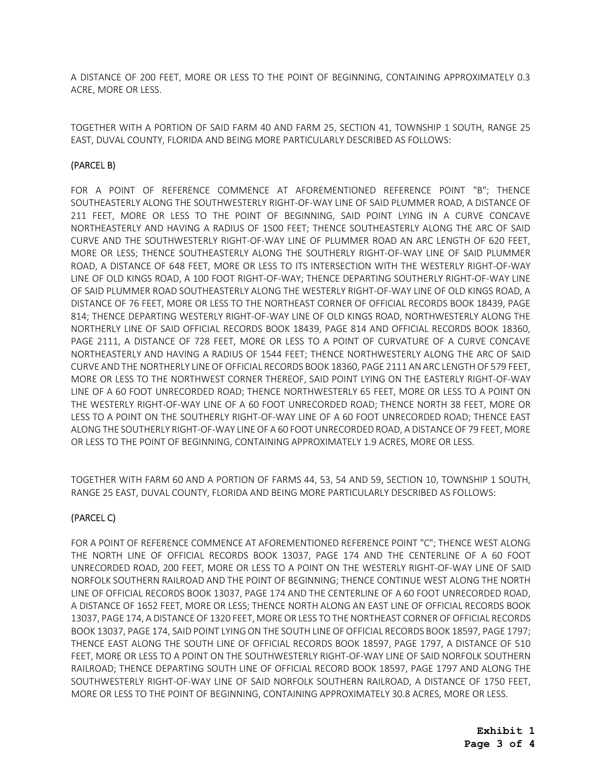A DISTANCE OF 200 FEET, MORE OR LESS TO THE POINT OF BEGINNING, CONTAINING APPROXIMATELY 0.3 ACRE, MORE OR LESS.

 TOGETHER WITH A PORTION OF SAID FARM 40 AND FARM 25, SECTION 41, TOWNSHIP 1 SOUTH, RANGE 25 EAST, DUVAL COUNTY, FLORIDA AND BEING MORE PARTICULARLY DESCRIBED AS FOLLOWS:

## (PARCEL B)

 FOR A POINT OF REFERENCE COMMENCE AT AFOREMENTIONED REFERENCE POINT "B"; THENCE SOUTHEASTERLY ALONG THE SOUTHWESTERLY RIGHT-OF-WAY LINE OF SAID PLUMMER ROAD, A DISTANCE OF 211 FEET, MORE OR LESS TO THE POINT OF BEGINNING, SAID POINT LYING IN A CURVE CONCAVE NORTHEASTERLY AND HAVING A RADIUS OF 1500 FEET; THENCE SOUTHEASTERLY ALONG THE ARC OF SAID CURVE AND THE SOUTHWESTERLY RIGHT-OF-WAY LINE OF PLUMMER ROAD AN ARC LENGTH OF 620 FEET, MORE OR LESS; THENCE SOUTHEASTERLY ALONG THE SOUTHERLY RIGHT-OF-WAY LINE OF SAID PLUMMER ROAD, A DISTANCE OF 648 FEET, MORE OR LESS TO ITS INTERSECTION WITH THE WESTERLY RIGHT-OF-WAY LINE OF OLD KINGS ROAD, A 100 FOOT RIGHT-OF-WAY; THENCE DEPARTING SOUTHERLY RIGHT-OF-WAY LINE OF SAID PLUMMER ROAD SOUTHEASTERLY ALONG THE WESTERLY RIGHT-OF-WAY LINE OF OLD KINGS ROAD, A DISTANCE OF 76 FEET, MORE OR LESS TO THE NORTHEAST CORNER OF OFFICIAL RECORDS BOOK 18439, PAGE 814; THENCE DEPARTING WESTERLY RIGHT-OF-WAY LINE OF OLD KINGS ROAD, NORTHWESTERLY ALONG THE NORTHERLY LINE OF SAID OFFICIAL RECORDS BOOK 18439, PAGE 814 AND OFFICIAL RECORDS BOOK 18360, PAGE 2111, A DISTANCE OF 728 FEET, MORE OR LESS TO A POINT OF CURVATURE OF A CURVE CONCAVE NORTHEASTERLY AND HAVING A RADIUS OF 1544 FEET; THENCE NORTHWESTERLY ALONG THE ARC OF SAID CURVE AND THE NORTHERLY LINE OF OFFICIAL RECORDS BOOK 18360, PAGE 2111 AN ARC LENGTHOF 579 FEET, MORE OR LESS TO THE NORTHWEST CORNER THEREOF, SAID POINT LYING ON THE EASTERLY RIGHT-OF-WAY LINE OF A 60 FOOT UNRECORDED ROAD; THENCE NORTHWESTERLY 65 FEET, MORE OR LESS TO A POINT ON THE WESTERLY RIGHT-OF-WAY LINE OF A 60 FOOT UNRECORDED ROAD; THENCE NORTH 38 FEET, MORE OR LESS TO A POINT ON THE SOUTHERLY RIGHT-OF-WAY LINE OF A 60 FOOT UNRECORDED ROAD; THENCE EAST ALONG THE SOUTHERLY RIGHT-OF-WAY LINEOF A 60 FOOT UNRECORDED ROAD, A DISTANCEOF 79 FEET, MORE OR LESS TO THE POINT OF BEGINNING, CONTAINING APPROXIMATELY 1.9 ACRES, MORE OR LESS.

 TOGETHER WITH FARM 60 AND A PORTION OF FARMS 44, 53, 54 AND 59, SECTION 10, TOWNSHIP 1 SOUTH, RANGE 25 EAST, DUVAL COUNTY, FLORIDA AND BEING MORE PARTICULARLY DESCRIBED AS FOLLOWS:

# (PARCEL C)

 FOR A POINT OF REFERENCE COMMENCE AT AFOREMENTIONED REFERENCE POINT "C"; THENCE WEST ALONG THE NORTH LINE OF OFFICIAL RECORDS BOOK 13037, PAGE 174 AND THE CENTERLINE OF A 60 FOOT UNRECORDED ROAD, 200 FEET, MORE OR LESS TO A POINT ON THE WESTERLY RIGHT-OF-WAY LINE OF SAID NORFOLK SOUTHERN RAILROAD AND THE POINT OF BEGINNING; THENCE CONTINUE WEST ALONG THE NORTH LINE OF OFFICIAL RECORDS BOOK 13037, PAGE 174 AND THE CENTERLINE OF A 60 FOOT UNRECORDED ROAD, A DISTANCE OF 1652 FEET, MORE OR LESS; THENCE NORTH ALONG AN EAST LINE OF OFFICIAL RECORDS BOOK 13037, PAGE 174, A DISTANCE OF 1320 FEET, MORE OR LESS TO THE NORTHEAST CORNER OF OFFICIAL RECORDS BOOK 13037, PAGE 174, SAID POINT LYING ON THE SOUTH LINE OF OFFICIAL RECORDS BOOK 18597, PAGE 1797; THENCE EAST ALONG THE SOUTH LINE OF OFFICIAL RECORDS BOOK 18597, PAGE 1797, A DISTANCE OF 510 FEET, MORE OR LESS TO A POINT ON THE SOUTHWESTERLY RIGHT-OF-WAY LINE OF SAID NORFOLK SOUTHERN RAILROAD; THENCE DEPARTING SOUTH LINE OF OFFICIAL RECORD BOOK 18597, PAGE 1797 AND ALONG THE SOUTHWESTERLY RIGHT-OF-WAY LINE OF SAID NORFOLK SOUTHERN RAILROAD, A DISTANCE OF 1750 FEET, MORE OR LESS TO THE POINT OF BEGINNING, CONTAINING APPROXIMATELY 30.8 ACRES, MORE OR LESS.